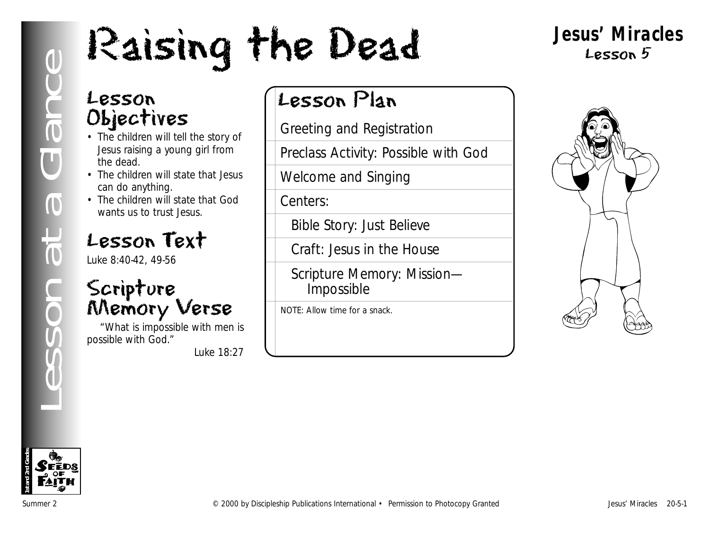# Lesson<br>
Cubiectives<br>
Discrime the dead.<br>
Insensition will tell the story of<br>
Lesson Plan<br>
Lesson and Registration<br>
Insensition will state that Jesus<br>
Can do anything.<br>
Conters:<br>
Cubiective and Simple Story: Just Believ<br>
Le

## **Jesus' Miracles** Lesson 5

## Lesson Objectives

- The children will tell the story of Jesus raising a young girl from the dead.
- The children will state that Jesus can do anything.
- The children will state that God wants us to trust Jesus.

## Lesson Text

Luke 8:40-42, 49-56

## Scripture Memory Verse

"What is impossible with men is possible with God."

*Luke 18:27*

## Lesson Plan

Greeting and Registration

Preclass Activity: Possible with God

Welcome and Singing

Centers:

Bible Story: Just Believe

Craft: Jesus in the House

Scripture Memory: Mission— Impossible

NOTE: Allow time for a snack.



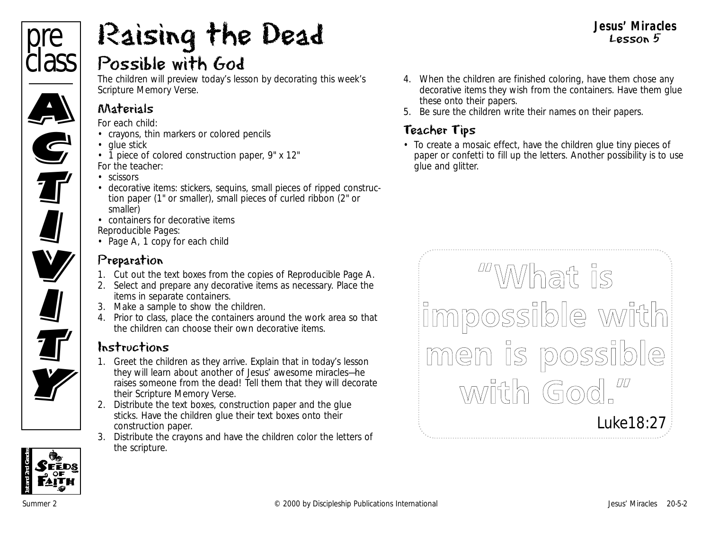# pre **class** Ciass **C**

**G**<br>T

**II**<br><u>II</u>

U<br>V

**V**<br>I

**All** 

**TV** 

## Possible with God Raising the Dead

The children will preview today's lesson by decorating this week's Scripture Memory Verse.

## Materials

*For each child:*

- crayons, thin markers or colored pencils
- glue stick
- 1 piece of colored construction paper, 9" x 12" *For the teacher:*
- scissors
- decorative items: stickers, sequins, small pieces of ripped construction paper (1" or smaller), small pieces of curled ribbon (2" or smaller)
- containers for decorative items *Reproducible Pages:*
- Page A, 1 copy for each child

## Preparation

- 1. Cut out the text boxes from the copies of Reproducible Page A.
- 2. Select and prepare any decorative items as necessary. Place the items in separate containers.
- 3. Make a sample to show the children.
- 4. Prior to class, place the containers around the work area so that the children can choose their own decorative items.

## Instructions

- 1. Greet the children as they arrive. Explain that in today's lesson they will learn about another of Jesus' awesome miracles—he raises someone from the dead! Tell them that they will decorate their Scripture Memory Verse.
- 2. Distribute the text boxes, construction paper and the glue sticks. Have the children glue their text boxes onto their construction paper.
- 3. Distribute the crayons and have the children color the letters of the scripture.

4. When the children are finished coloring, have them chose any decorative items they wish from the containers. Have them glue these onto their papers.

**Jesus' Miracles** Lesson 5

5. Be sure the children write their names on their papers.

## Teacher Tips

• To create a mosaic effect, have the children glue tiny pieces of paper or confetti to fill up the letters. Another possibility is to use glue and glitter.

WWhat is impossible with men is possible with God." *Luke18:27*

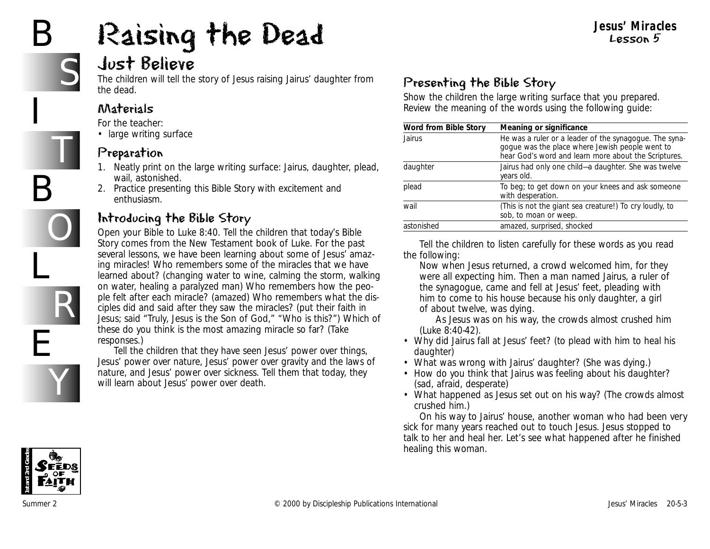# B

I

B

L

E

S

T

O

R

Y

# Raising the Dead



The children will tell the story of Jesus raising Jairus' daughter from the dead.

#### Materials

*For the teacher:*

• large writing surface

#### Preparation

- 1. Neatly print on the large writing surface: Jairus, daughter, plead, wail, astonished.
- 2. Practice presenting this Bible Story with excitement and enthusiasm.

## Introducing the Bible Story

Open your Bible to Luke 8:40. Tell the children that today's Bible Story comes from the New Testament book of Luke. *For the past several lessons, we have been learning about some of Jesus' amazing miracles! Who remembers some of the miracles that we have learned about?* (changing water to wine, calming the storm, walking on water, healing a paralyzed man) *Who remembers how the people felt after each miracle?* (amazed) *Who remembers what the disciples did and said after they saw the miracles?* (put their faith in Jesus; said "Truly, Jesus is the Son of God," "Who is this?") *Which of these do you think is the most amazing miracle so far?* (Take responses.)

Tell the children that they have seen Jesus' power over things, Jesus' power over nature, Jesus' power over gravity and the laws of nature, and Jesus' power over sickness. Tell them that today, they will learn about Jesus' power over death.

## Presenting the Bible Story

Show the children the large writing surface that you prepared. Review the meaning of the words using the following guide:

| Word from Bible Story | Meaning or significance                                                                                                                                           |
|-----------------------|-------------------------------------------------------------------------------------------------------------------------------------------------------------------|
| Jairus                | He was a ruler or a leader of the synagogue. The syna-<br>gogue was the place where Jewish people went to<br>hear God's word and learn more about the Scriptures. |
| daughter              | Jairus had only one child-a daughter. She was twelve<br>years old.                                                                                                |
| plead                 | To beg; to get down on your knees and ask someone<br>with desperation.                                                                                            |
| wail                  | (This is not the giant sea creature!) To cry loudly, to<br>sob, to moan or weep.                                                                                  |
| astonished            | amazed, surprised, shocked                                                                                                                                        |

Tell the children to listen carefully for these words as you read the following:

*Now when Jesus returned, a crowd welcomed him, for they were all expecting him. Then a man named Jairus, a ruler of the synagogue, came and fell at Jesus' feet, pleading with him to come to his house because his only daughter, a girl of about twelve, was dying.*

*As Jesus was on his way, the crowds almost crushed him* (Luke 8:40-42).

- *Why did Jairus fall at Jesus' feet?* (to plead with him to heal his daughter)
- *What was wrong with Jairus' daughter?* (She was dying.)
- *How do you think that Jairus was feeling about his daughter?* (sad, afraid, desperate)
- *What happened as Jesus set out on his way?* (The crowds almost crushed him.)

*On his way to Jairus' house, another woman who had been very sick for many years reached out to touch Jesus. Jesus stopped to talk to her and heal her. Let's see what happened after he finished healing this woman.*

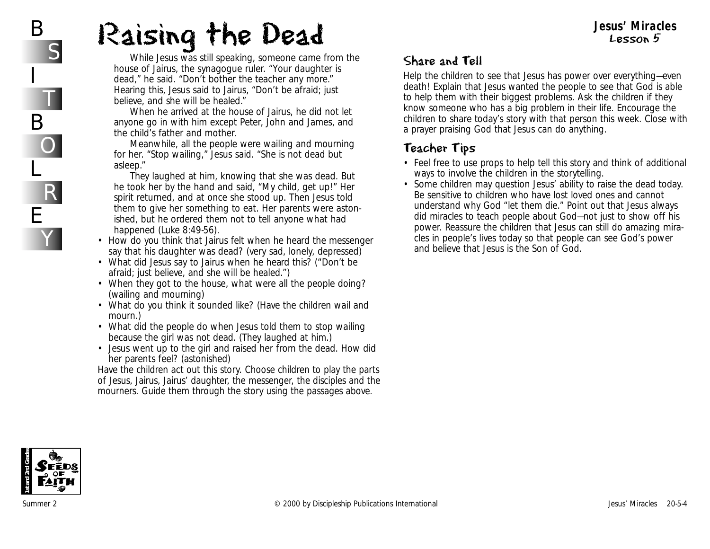# Raising the Dead

*While Jesus was still speaking, someone came from the house of Jairus, the synagogue ruler. "Your daughter is dead," he said. "Don't bother the teacher any more." Hearing this, Jesus said to Jairus, "Don't be afraid; just believe, and she will be healed."* 

*When he arrived at the house of Jairus, he did not let anyone go in with him except Peter, John and James, and the child's father and mother.* 

*Meanwhile, all the people were wailing and mourning for her. "Stop wailing," Jesus said. "She is not dead but asleep."* 

*They laughed at him, knowing that she was dead. But he took her by the hand and said, "My child, get up!" Her spirit returned, and at once she stood up. Then Jesus told them to give her something to eat. Her parents were astonished, but he ordered them not to tell anyone what had happened* (Luke 8:49-56).

- *How do you think that Jairus felt when he heard the messenger say that his daughter was dead?* (very sad, lonely, depressed)
- *What did Jesus say to Jairus when he heard this?* ("Don't be afraid; just believe, and she will be healed.")
- *When they got to the house, what were all the people doing?* (wailing and mourning)
- *What do you think it sounded like?* (Have the children wail and mourn.)
- *What did the people do when Jesus told them to stop wailing because the girl was not dead.* (They laughed at him.)
- *Jesus went up to the girl and raised her from the dead. How did her parents feel?* (astonished)

Have the children act out this story. Choose children to play the parts of Jesus, Jairus, Jairus' daughter, the messenger, the disciples and the mourners. Guide them through the story using the passages above.

## Share and Tell

Help the children to see that Jesus has power over everything—even death! Explain that Jesus wanted the people to see that God is able to help them with their biggest problems. Ask the children if they know someone who has a big problem in their life. Encourage the children to share today's story with that person this week. Close with a prayer praising God that Jesus can do anything.

## Teacher Tips

- Feel free to use props to help tell this story and think of additional ways to involve the children in the storytelling.
- Some children may question Jesus' ability to raise the dead today. Be sensitive to children who have lost loved ones and cannot understand why God "let them die." Point out that Jesus always did miracles to teach people about God—not just to show off his power. Reassure the children that Jesus can still do amazing miracles in people's lives today so that people can see God's power and believe that Jesus is the Son of God.



B

I

B

L

E

S

T

O

R

Y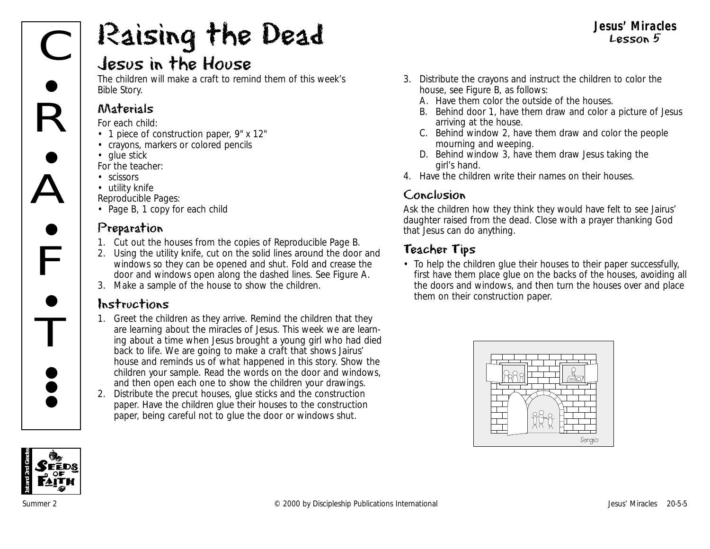# Raising the Dead

## Jesus in the House

The children will make a craft to remind them of this week's Bible Story.

#### Materials

*For each child:*

- 1 piece of construction paper, 9" x 12"
- crayons, markers or colored pencils
- glue stick

*For the teacher:*

- scissors
- utility knife

*Reproducible Pages:*

• Page B, 1 copy for each child

#### Preparation

- 1. Cut out the houses from the copies of Reproducible Page B.
- 2. Using the utility knife, cut on the solid lines around the door and windows so they can be opened and shut. Fold and crease the door and windows open along the dashed lines. See Figure A.
- 3. Make a sample of the house to show the children.

#### Instructions

- 1. Greet the children as they arrive. Remind the children that they are learning about the miracles of Jesus. *This week we are learning about a time when Jesus brought a young girl who had died back to life. We are going to make a craft that shows Jairus' house and reminds us of what happened in this story.* Show the children your sample. Read the words on the door and windows, and then open each one to show the children your drawings.
- 2. Distribute the precut houses, glue sticks and the construction paper. Have the children glue their houses to the construction paper, being careful not to glue the door or windows shut.
- 3. Distribute the crayons and instruct the children to color the house, see Figure B, as follows:
	- A. Have them color the outside of the houses.
	- B. Behind door 1, have them draw and color a picture of Jesus arriving at the house.

**Jesus' Miracles** Lesson 5

- C. Behind window 2, have them draw and color the people mourning and weeping.
- D. Behind window 3, have them draw Jesus taking the girl's hand.
- 4. Have the children write their names on their houses.

#### Conclusion

Ask the children how they think they would have felt to see Jairus' daughter raised from the dead. Close with a prayer thanking God that Jesus can do anything.

## Teacher Tips

• To help the children glue their houses to their paper successfully, first have them place glue on the backs of the houses, avoiding all the doors and windows, and then turn the houses over and place them on their construction paper.



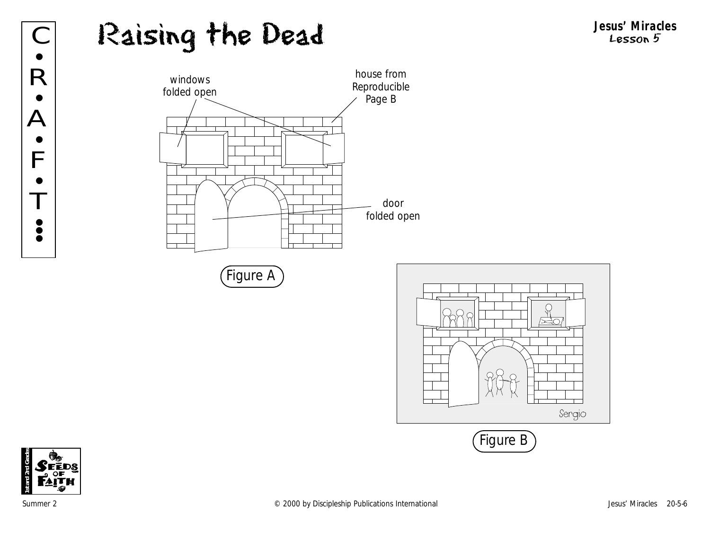## Raising the Dead **Jesus' Miracles** C Lesson 5









R

 $\bullet$ 

•

A

F

•

•

T

•<br>• **; •**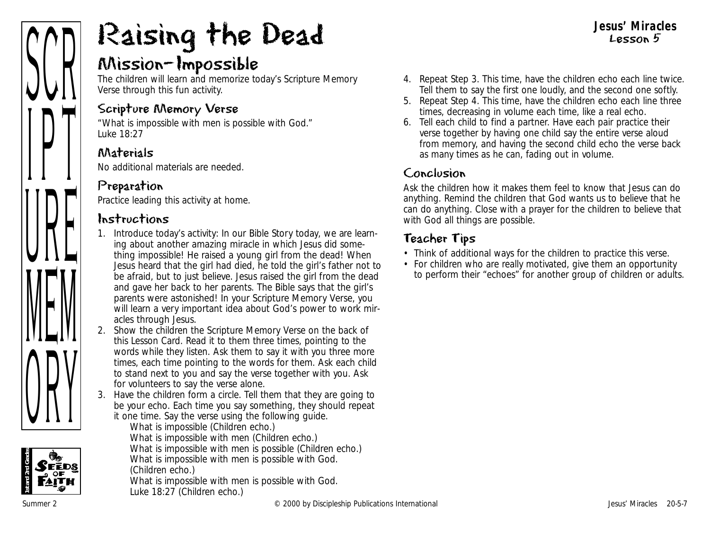#### **Jesus' Miracles** Lesson 5



# Raising the Dead

## Mission—Impossible

The children will learn and memorize today's Scripture Memory Verse through this fun activity.

#### Scripture Memory Verse

"What is impossible with men is possible with God." *Luke 18:27*

#### Materials

No additional materials are needed.

## Preparation

Practice leading this activity at home.

#### Instructions

- 1. Introduce today's activity: *In our Bible Story today, we are learning about another amazing miracle in which Jesus did something impossible! He raised a young girl from the dead! When Jesus heard that the girl had died, he told the girl's father not to be afraid, but to just believe. Jesus raised the girl from the dead and gave her back to her parents. The Bible says that the girl's parents were astonished! In your Scripture Memory Verse, you will learn a very important idea about God's power to work miracles through Jesus.*
- 2. Show the children the Scripture Memory Verse on the back of this Lesson Card. Read it to them three times, pointing to the words while they listen. Ask them to say it with you three more times, each time pointing to the words for them. Ask each child to stand next to you and say the verse together with you. Ask for volunteers to say the verse alone.
- 3. Have the children form a circle. Tell them that they are going to be your echo. Each time you say something, they should repeat it one time. Say the verse using the following guide.



*What is impossible* (Children echo.) *What is impossible with men* (Children echo.) *What is impossible with men is possible* (Children echo.) *What is impossible with men is possible with God.*  (Children echo.) *What is impossible with men is possible with God. Luke 18:27* (Children echo.)

- 4. Repeat Step 3. This time, have the children echo each line twice. Tell them to say the first one loudly, and the second one softly.
- 5. Repeat Step 4. This time, have the children echo each line three times, decreasing in volume each time, like a real echo.
- 6. Tell each child to find a partner. Have each pair practice their verse together by having one child say the entire verse aloud from memory, and having the second child echo the verse back as many times as he can, fading out in volume.

## Conclusion

Ask the children how it makes them feel to know that Jesus can do anything. Remind the children that God wants us to believe that he can do anything. Close with a prayer for the children to believe that with God all things are possible.

## Teacher Tips

- Think of additional ways for the children to practice this verse.
- For children who are really motivated, give them an opportunity to perform their "echoes" for another group of children or adults.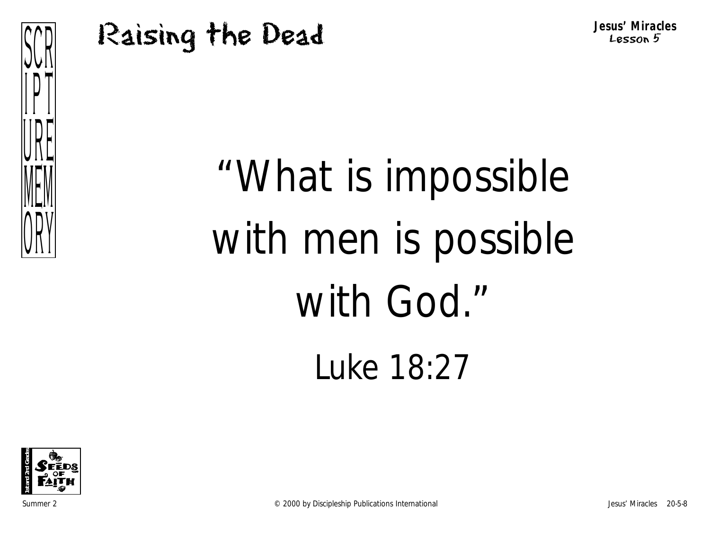## Raising the Dead



"What is impossible with men is possible with God." Luke 18:27

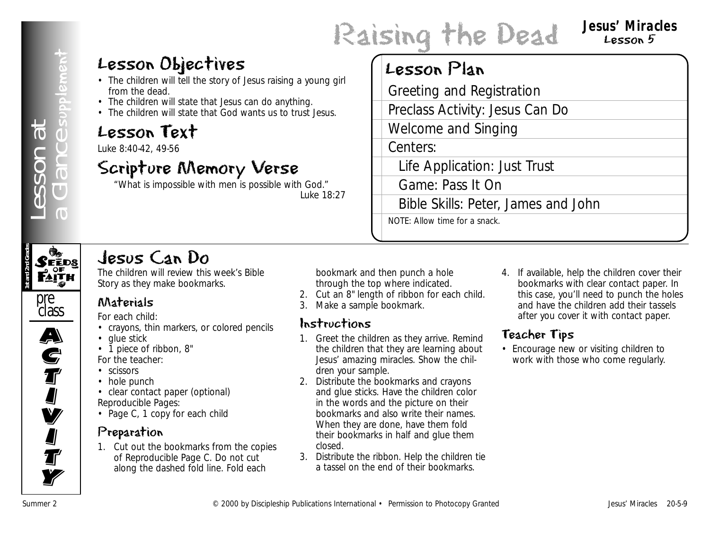Raising the Dead **Jesus' Miracles** Lesson 5

## Lesson Objectives

- The children will tell the story of Jesus raising a young girl from the dead.
- The children will state that Jesus can do anything.
- The children will state that God wants us to trust Jesus.

## Lesson Text

Luke 8:40-42, 49-56

## Scripture Memory Verse

"What is impossible with men is possible with God." *Luke 18:27*

## Lesson Plan

Greeting and Registration

Preclass Activity: Jesus Can Do

Welcome and Singing

Centers:

Life Application: Just Trust

Game: Pass It On

Bible Skills: Peter, James and John

NOTE: Allow time for a snack.



## Jesus Can Do

The children will review this week's Bible Story as they make bookmarks.

#### pre class

## $\overline{\mathbf{A}}$ A)<br>C **S**<br>T I<br>I **V I J**<br>T **Ty**

Materials

*For each child:*

- crayons, thin markers, or colored pencils
- glue stick
- 1 piece of ribbon, 8"

*For the teacher:*

- scissors
- hole punch

• clear contact paper (optional) *Reproducible Pages:*

• Page C, 1 copy for each child

## Preparation

1. Cut out the bookmarks from the copies of Reproducible Page C. Do not cut along the dashed fold line. Fold each

bookmark and then punch a hole through the top where indicated.

- 2. Cut an 8" length of ribbon for each child.
- 3. Make a sample bookmark.

#### Instructions

- 1. Greet the children as they arrive. Remind the children that they are learning about Jesus' amazing miracles. Show the children your sample.
- **LESSON Objectives**<br>
The mathematical entropy density international **LESSON Plan**<br>
The mathematical entropy density internations International Singling<br>
Contracts 20-5-9 Lesson Text international + Permission to Photon an 2. Distribute the bookmarks and crayons and glue sticks. Have the children color in the words and the picture on their bookmarks and also write their names. When they are done, have them fold their bookmarks in half and glue them closed.
	- 3. Distribute the ribbon. Help the children tie a tassel on the end of their bookmarks.

4. If available, help the children cover their bookmarks with clear contact paper. In this case, you'll need to punch the holes and have the children add their tassels after you cover it with contact paper.

## Teacher Tips

• Encourage new or visiting children to work with those who come regularly.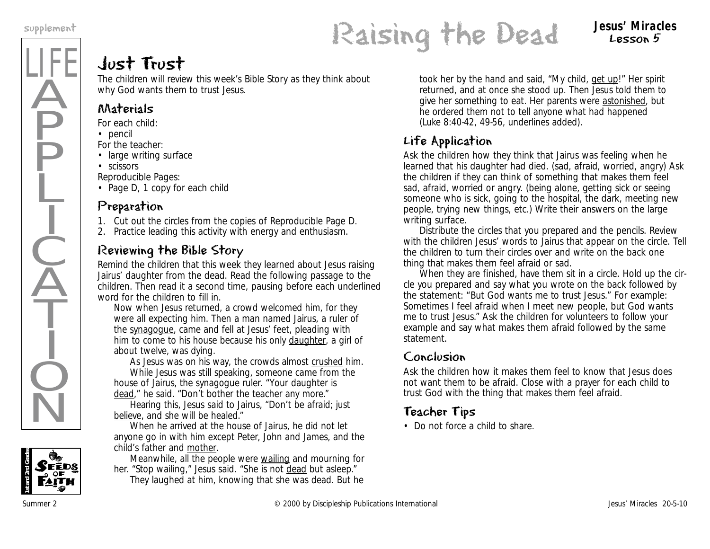LIFE

Ä

**P** 

P

Ļ

I

 $\frac{1}{2}$ 

 $\widecheck{\mathrm{A}}$ 

T

I

 $\dot{Q}$ 

 $\overline{\textsf{N}}$ 

## supplement<br> **Raising the Dead** Lesson 5 Lesson 5

## Just Trust

The children will review this week's Bible Story as they think about why God wants them to trust Jesus.

## Materials

*For each child:*

- pencil
- *For the teacher:*
- large writing surface
- scissors

*Reproducible Pages:*

• Page D, 1 copy for each child

## Preparation

- 1. Cut out the circles from the copies of Reproducible Page D.
- 2. Practice leading this activity with energy and enthusiasm.

## Reviewing the Bible Story

Remind the children that this week they learned about Jesus raising Jairus' daughter from the dead. Read the following passage to the children. Then read it a second time, pausing before each underlined word for the children to fill in.

*Now when Jesus returned, a crowd welcomed him, for they were all expecting him. Then a man named Jairus, a ruler of the synagogue, came and fell at Jesus' feet, pleading with him to come to his house because his only daughter, a girl of about twelve, was dying.*

*As Jesus was on his way, the crowds almost crushed him. While Jesus was still speaking, someone came from the house of Jairus, the synagogue ruler. "Your daughter is dead," he said. "Don't bother the teacher any more."* 

*Hearing this, Jesus said to Jairus, "Don't be afraid; just believe, and she will be healed."* 

*When he arrived at the house of Jairus, he did not let anyone go in with him except Peter, John and James, and the child's father and mother.* 

*Meanwhile, all the people were wailing and mourning for her. "Stop wailing," Jesus said. "She is not dead but asleep." They laughed at him, knowing that she was dead. But he*

*took her by the hand and said, "My child, get up!" Her spirit returned, and at once she stood up. Then Jesus told them to give her something to eat. Her parents were astonished, but he ordered them not to tell anyone what had happened* (Luke 8:40-42, 49-56, underlines added).

## Life Application

Ask the children how they think that Jairus was feeling when he learned that his daughter had died. (sad, afraid, worried, angry) Ask the children if they can think of something that makes them feel sad, afraid, worried or angry. (being alone, getting sick or seeing someone who is sick, going to the hospital, the dark, meeting new people, trying new things, etc.) Write their answers on the large writing surface.

Distribute the circles that you prepared and the pencils. Review with the children Jesus' words to Jairus that appear on the circle. Tell the children to turn their circles over and write on the back one thing that makes them feel afraid or sad.

When they are finished, have them sit in a circle. Hold up the circle you prepared and say what you wrote on the back followed by the statement: "But God wants me to trust Jesus." For example: *Sometimes I feel afraid when I meet new people, but God wants me to trust Jesus."* Ask the children for volunteers to follow your example and say what makes them afraid followed by the same statement.

## Conclusion

Ask the children how it makes them feel to know that Jesus does not want them to be afraid. Close with a prayer for each child to trust God with the thing that makes them feel afraid.

## Teacher Tips

• Do not force a child to share.

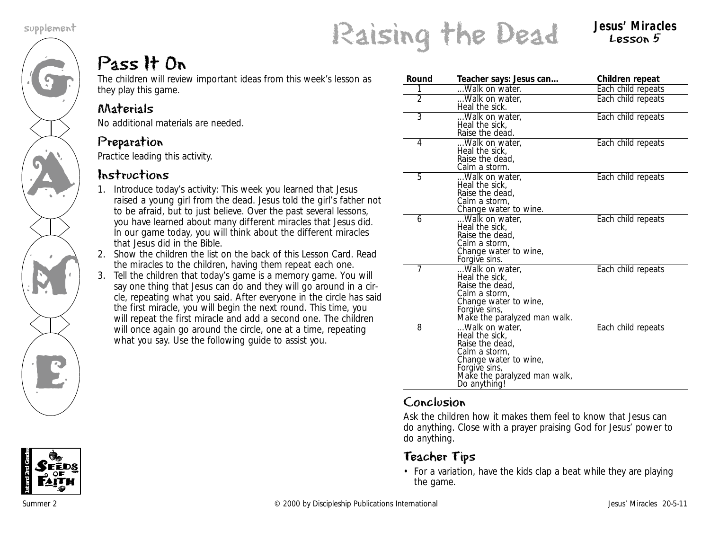G

AN A

M

K<br>E

supplement<br>**Raising the Dead** Jesus' Miracles

## Lesson 5

## Pass It On

The children will review important ideas from this week's lesson as they play this game.

## Materials

No additional materials are needed.

## Preparation

Practice leading this activity.

#### Instructions

- 1. Introduce today's activity: *This week you learned that Jesus raised a young girl from the dead. Jesus told the girl's father not to be afraid, but to just believe. Over the past several lessons, you have learned about many different miracles that Jesus did. In our game today, you will think about the different miracles that Jesus did in the Bible.*
- 2. Show the children the list on the back of this Lesson Card. Read the miracles to the children, having them repeat each one.
- 3. Tell the children that today's game is a memory game. You will say one thing that Jesus can do and they will go around in a circle, repeating what you said. After everyone in the circle has said the first miracle, you will begin the next round. This time, you will repeat the first miracle and add a second one. The children will once again go around the circle, one at a time, repeating what you say. Use the following guide to assist you.

| Round          | Teacher says: Jesus can                                                                                                                                        | Children repeat    |
|----------------|----------------------------------------------------------------------------------------------------------------------------------------------------------------|--------------------|
| 1              | Walk on water.                                                                                                                                                 | Each child repeats |
| $\overline{2}$ | Walk on water,<br>Heal the sick.                                                                                                                               | Each child repeats |
| 3              | Walk on water,<br>Heal the sick,<br>Raise the dead.                                                                                                            | Each child repeats |
| $\overline{4}$ | Walk on water,<br>Heal the sick,<br>Raise the dead,<br>Calm a storm.                                                                                           | Each child repeats |
| 5              | Walk on water,<br>Heal the sick,<br>Raise the dead,<br>Calm a storm,<br>Change water to wine.                                                                  | Each child repeats |
| 6              | Walk on water,<br>Heal the sick,<br>Raise the dead,<br>Calm a storm,<br>Change water to wine,<br>Forgive sins.                                                 | Each child repeats |
| 7              | Walk on water,<br>Heal the sick.<br>Raise the dead.<br>Calm a storm,<br>Change water to wine,<br>Forgive sins,<br>Make the paralyzed man walk.                 | Each child repeats |
| 8              | Walk on water,<br>Heal the sick,<br>Raise the dead,<br>Calm a storm,<br>Change water to wine,<br>Forgive sins,<br>Make the paralyzed man walk,<br>Do anything! | Each child repeats |

#### Conclusion

Ask the children how it makes them feel to know that Jesus can do anything. Close with a prayer praising God for Jesus' power to do anything.

## Teacher Tips

• For a variation, have the kids clap a beat while they are playing the game.

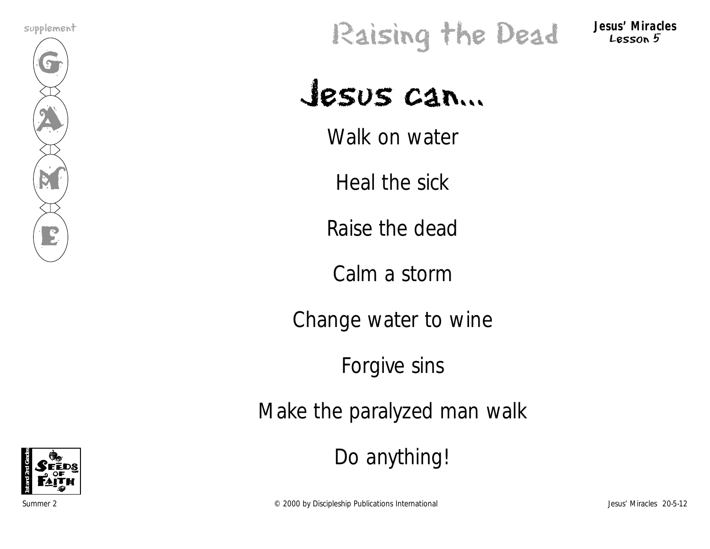

# supplement<br>**Raising the Dead** Jesus' Miracles

Lesson 5

# Jesus can...

Walk on water

Heal the sick

Raise the dead

Calm a storm

Change water to wine

Forgive sins

Make the paralyzed man walk

Do anything!



Summer 2 Conservations Conservations Conservations Discipleship Publications International Conservations of the Unit of the Unit of the Unit of the Unit of the Unit of the Unit of the Unit of the Unit of the Unit of the Un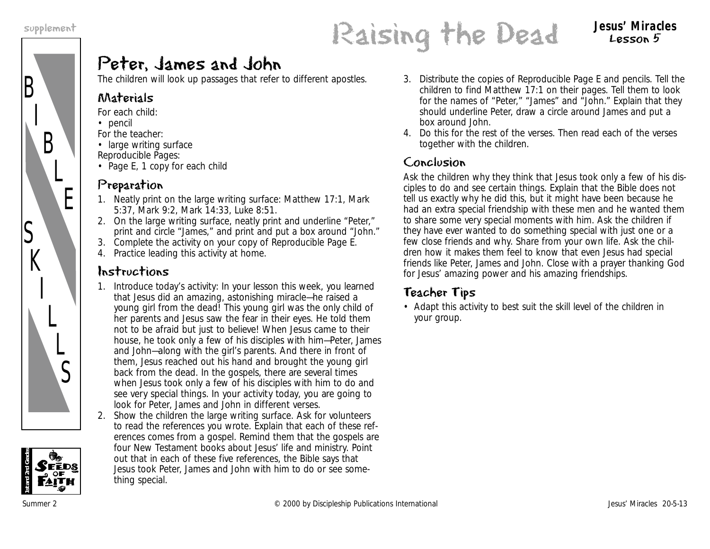

## supplement<br> **Raising the Dead** Session 5 Lesson 5

## Peter, James and John

The children will look up passages that refer to different apostles.

#### Materials

- *For each child:*
- pencil
	- *For the teacher:*
	- large writing surface *Reproducible Pages:*
	- Page E, 1 copy for each child

## Preparation

- 1. Neatly print on the large writing surface: Matthew 17:1, Mark 5:37, Mark 9:2, Mark 14:33, Luke 8:51.
- 2. On the large writing surface, neatly print and underline "Peter," print and circle "James," and print and put a box around "John."
- 3. Complete the activity on your copy of Reproducible Page E.
- 4. Practice leading this activity at home.

## Instructions

- 1. Introduce today's activity: *In your lesson this week, you learned that Jesus did an amazing, astonishing miracle—he raised a young girl from the dead! This young girl was the only child of her parents and Jesus saw the fear in their eyes. He told them not to be afraid but just to believe! When Jesus came to their house, he took only a few of his disciples with him—Peter, James and John—along with the girl's parents. And there in front of them, Jesus reached out his hand and brought the young girl back from the dead. In the gospels, there are several times when Jesus took only a few of his disciples with him to do and see very special things. In your activity today, you are going to look for Peter, James and John in different verses.*
- 2. Show the children the large writing surface. Ask for volunteers to read the references you wrote. Explain that each of these references comes from a gospel. Remind them that the gospels are four New Testament books about Jesus' life and ministry. Point out that in each of these five references, the Bible says that Jesus took Peter, James and John with him to do or see something special.
- 3. Distribute the copies of Reproducible Page E and pencils. Tell the children to find Matthew 17:1 on their pages. Tell them to look for the names of "Peter," "James" and "John." Explain that they should underline Peter, draw a circle around James and put a box around John.
- 4. Do this for the rest of the verses. Then read each of the verses together with the children.

## Conclusion

Ask the children why they think that Jesus took only a few of his disciples to do and see certain things. Explain that the Bible does not tell us exactly why he did this, but it might have been because he had an extra special friendship with these men and he wanted them to share some very special moments with him. Ask the children if they have ever wanted to do something special with just one or a few close friends and why. Share from your own life. Ask the children how it makes them feel to know that even Jesus had special friends like Peter, James and John. Close with a prayer thanking God for Jesus' amazing power and his amazing friendships.

## Teacher Tips

• Adapt this activity to best suit the skill level of the children in your group.

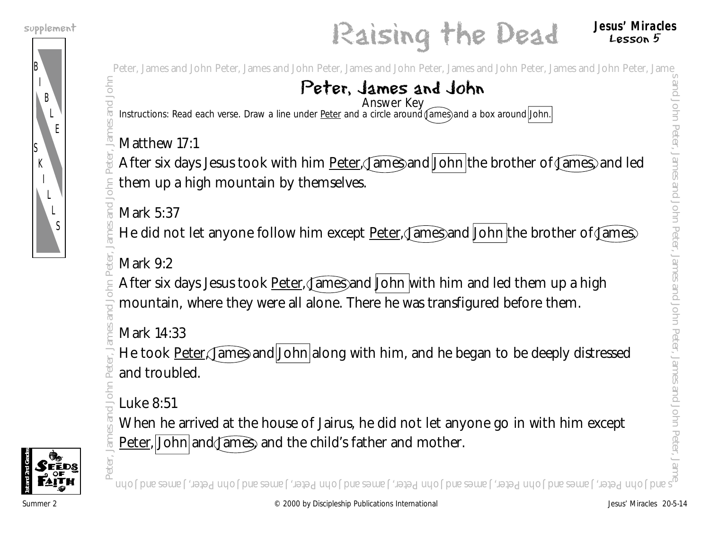

## supplement<br> **Raising the Dead** Jesus' Miracles Lesson 5

Peter, James and John Peter, James and John Peter, James and John Peter, James and John Peter, James and John Peter, James and John Peter, James and John Peter, James and John Peter, James and John Peter, James and John Pe

#### Peter, James and John Answer Key

Instructions: Read each verse. Draw a line under Peter and a circle around James) and a box around John.

## Matthew 17:1

After six days Jesus took with him **Peter, James and John** the brother of James, and led them up a high mountain by themselves. **Peter, James and John**<br> **Peter, James and John**<br> **Entrancements Rest eschwase Diawa line and Peter and a civile and a civile and a box anounc <u>John</u><br>
<b>Entrance and John Peter, James and John Peter of James and Heather Sc** 

## Mark 5:37

He did not let anyone follow him except **Peter, James and John the brother of James** 

## Mark 9:2

After six days Jesus took Peter, James and John with him and led them up a high mountain, where they were all alone. There he was transfigured before them.

Mark 14:33

He took Peter, James and John along with him, and he began to be deeply distressed and troubled.

Luke 8:51

When he arrived at the house of Jairus, he did not let anyone go in with him except Peter, John and James, and the child's father and mother.



s and John Peter, James and John Peter, James and John Peter, James and John Peter, James and John Peter, James and John

and

John Peter,

James and

John Peter,

James and

John Peter,

James and

John Peter,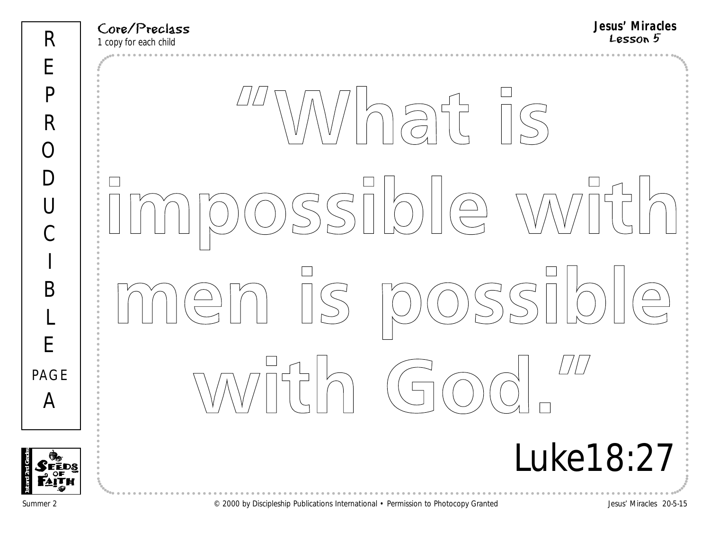| R                                           | <b>Jesus' Miracles</b><br>Core/Preclass<br>Lesson 5<br>1 copy for each child                                                                                                                                                                                                                                                                                                                                                                                                                                                                                                                                                                                                                                                                                                                    |
|---------------------------------------------|-------------------------------------------------------------------------------------------------------------------------------------------------------------------------------------------------------------------------------------------------------------------------------------------------------------------------------------------------------------------------------------------------------------------------------------------------------------------------------------------------------------------------------------------------------------------------------------------------------------------------------------------------------------------------------------------------------------------------------------------------------------------------------------------------|
| E                                           |                                                                                                                                                                                                                                                                                                                                                                                                                                                                                                                                                                                                                                                                                                                                                                                                 |
| $\overline{P}$                              |                                                                                                                                                                                                                                                                                                                                                                                                                                                                                                                                                                                                                                                                                                                                                                                                 |
| R                                           |                                                                                                                                                                                                                                                                                                                                                                                                                                                                                                                                                                                                                                                                                                                                                                                                 |
| $\subset$                                   |                                                                                                                                                                                                                                                                                                                                                                                                                                                                                                                                                                                                                                                                                                                                                                                                 |
| $\vert$ )                                   |                                                                                                                                                                                                                                                                                                                                                                                                                                                                                                                                                                                                                                                                                                                                                                                                 |
| $\left[\begin{array}{c}1\end{array}\right]$ | $SSIDIO$<br>WVI                                                                                                                                                                                                                                                                                                                                                                                                                                                                                                                                                                                                                                                                                                                                                                                 |
| $\overline{C}$                              |                                                                                                                                                                                                                                                                                                                                                                                                                                                                                                                                                                                                                                                                                                                                                                                                 |
| I                                           |                                                                                                                                                                                                                                                                                                                                                                                                                                                                                                                                                                                                                                                                                                                                                                                                 |
| B                                           | $\begin{array}{c} \hline \text{min} \\ \text{min} \end{array}$<br>$SSI$<br>$\begin{picture}(20,20) \put(0,0){\line(1,0){10}} \put(15,0){\line(1,0){10}} \put(15,0){\line(1,0){10}} \put(15,0){\line(1,0){10}} \put(15,0){\line(1,0){10}} \put(15,0){\line(1,0){10}} \put(15,0){\line(1,0){10}} \put(15,0){\line(1,0){10}} \put(15,0){\line(1,0){10}} \put(15,0){\line(1,0){10}} \put(15,0){\line(1,0){10}} \put(15,0){\line(1$<br>$\bigodot$<br>$\begin{picture}(40,40) \put(0,0){\line(1,0){155}} \put(15,0){\line(1,0){155}} \put(15,0){\line(1,0){155}} \put(15,0){\line(1,0){155}} \put(15,0){\line(1,0){155}} \put(15,0){\line(1,0){155}} \put(15,0){\line(1,0){155}} \put(15,0){\line(1,0){155}} \put(15,0){\line(1,0){155}} \put(15,0){\line(1,0){155}} \put(15,0){\line(1,0){155}} \$   |
| L                                           |                                                                                                                                                                                                                                                                                                                                                                                                                                                                                                                                                                                                                                                                                                                                                                                                 |
| E                                           |                                                                                                                                                                                                                                                                                                                                                                                                                                                                                                                                                                                                                                                                                                                                                                                                 |
| PAGE                                        | $\begin{array}{c} \begin{array}{c} \begin{array}{c} \begin{array}{c} \end{array} \\ \begin{array}{c} \end{array} \\ \begin{array}{c} \end{array} \end{array} \end{array} \end{array}$<br>$\left(\begin{array}{c} \begin{array}{c} \begin{array}{c} \end{array}\\ \begin{array}{c} \end{array}\\ \begin{array}{c} \end{array}\\ \begin{array}{c} \end{array}\\ \begin{array}{c} \end{array}\\ \begin{array}{c} \end{array}\\ \begin{array}{c} \end{array}\\ \begin{array}{c} \end{array}\\ \begin{array}{c} \end{array}\\ \begin{array}{c} \end{array}\\ \begin{array}{c} \end{array}\\ \begin{array}{c} \end{array}\\ \begin{array}{c} \end{array}\\ \begin{array}{c} \end{array}\\ \begin{array}{c} \end{array}\\ \begin{array}{c} \end{array}\\ \begin{array}{c} \end{array}\\$<br>$\sqrt{ }$ |
| A                                           |                                                                                                                                                                                                                                                                                                                                                                                                                                                                                                                                                                                                                                                                                                                                                                                                 |
|                                             | <i>Luke 18:27</i>                                                                                                                                                                                                                                                                                                                                                                                                                                                                                                                                                                                                                                                                                                                                                                               |
|                                             |                                                                                                                                                                                                                                                                                                                                                                                                                                                                                                                                                                                                                                                                                                                                                                                                 |

**1st and 2nd Grades**

Summer 2 **Example 2** Case of Discipleship Publications International • Permission to Photocopy Granted Jesus' Miracles 20-5-15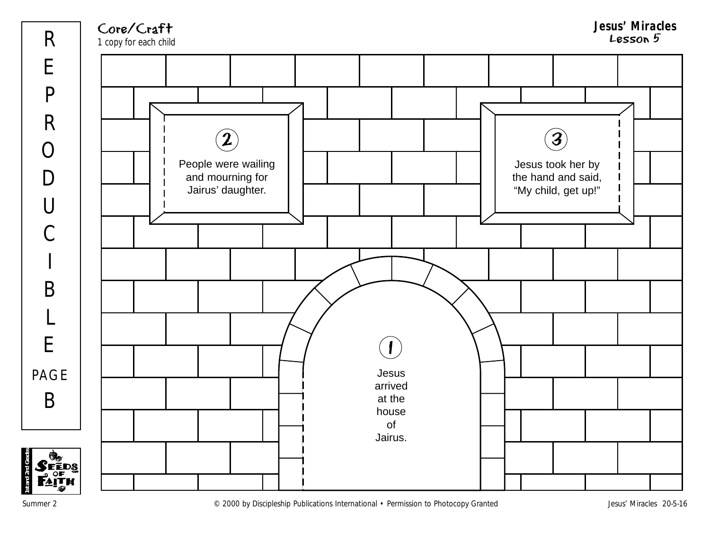

**1st and 2nd Grades**

Summer 2 COOD by Discipleship Publications International • Permission to Photocopy Granted Jesus' Miracles 20-5-16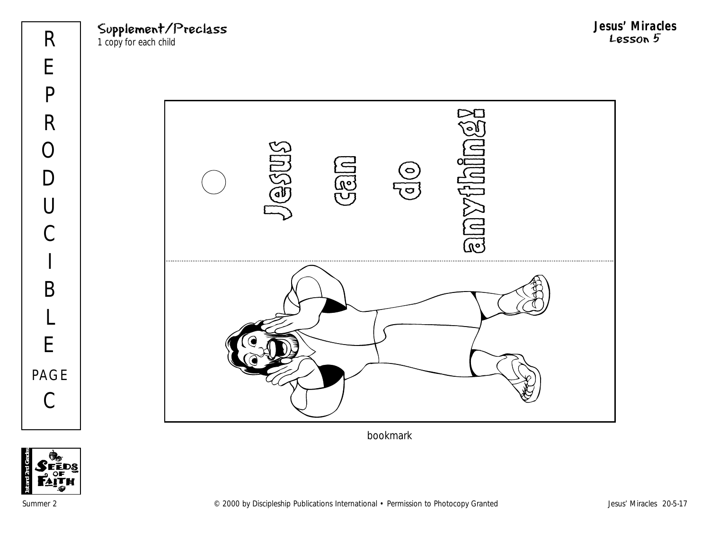Supplement/Preclass 1 copy for each child

**Jesus' Miracles** Lesson 5



bookmark

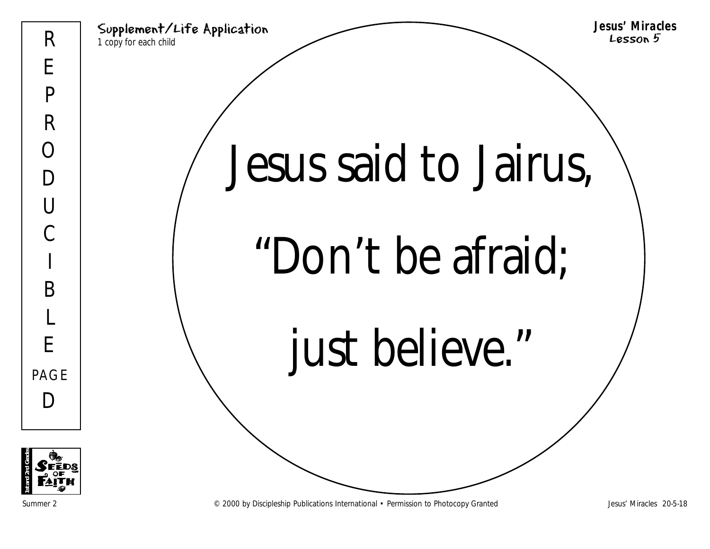Supplement/Life Application 1 copy for each child **Jesus' Miracles** Lesson 5 Jesus said to Jairus, "Don't be afraid; just believe."



Summer 2 **Examples 2000 and CONFEDUAL CONFEDUAL CONFEDUAL** Permission to Photocopy Granted Jesus' Miracles 20-5-18